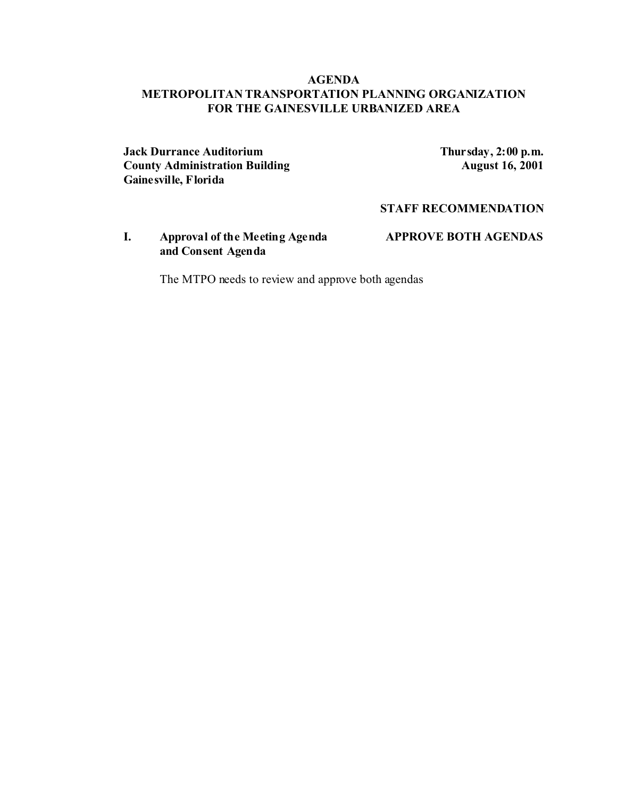## **AGENDA METROPOLITAN TRANSPORTATION PLANNING ORGANIZATION FOR THE GAINESVILLE URBANIZED AREA**

**Jack Durrance Auditorium**<br> **County Administration Building**<br> **Thursday, 2:00 p.m.**<br> **August 16, 2001 County Administration Building Gainesville, Florida**

**STAFF RECOMMENDATION**

**I. Approval of the Meeting Agenda APPROVE BOTH AGENDAS and Consent Agenda**

The MTPO needs to review and approve both agendas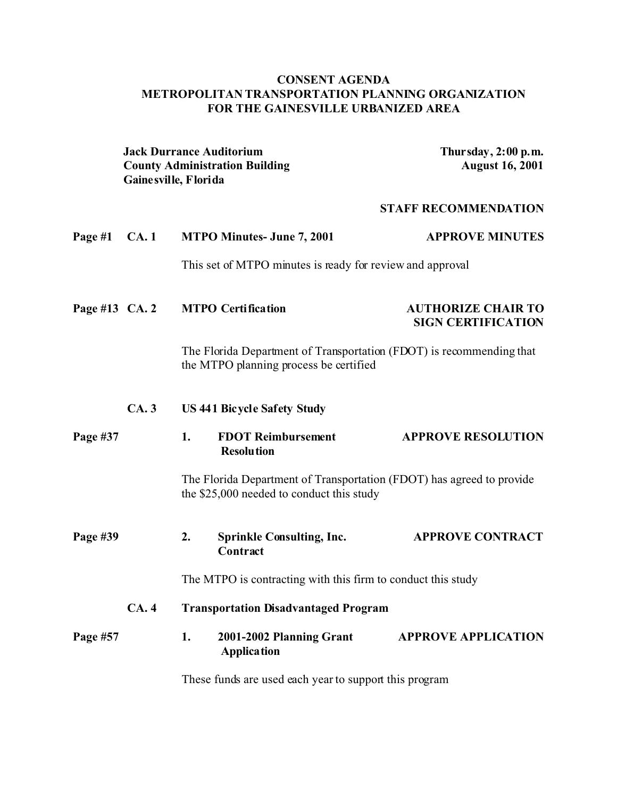# **CONSENT AGENDA METROPOLITAN TRANSPORTATION PLANNING ORGANIZATION FOR THE GAINESVILLE URBANIZED AREA**

|                | <b>Jack Durrance Auditorium</b><br><b>County Administration Building</b><br>Gaine sville, Florida |                                                                                                                |                                                                                                                    | Thursday, 2:00 p.m.<br><b>August 16, 2001</b>          |  |
|----------------|---------------------------------------------------------------------------------------------------|----------------------------------------------------------------------------------------------------------------|--------------------------------------------------------------------------------------------------------------------|--------------------------------------------------------|--|
|                |                                                                                                   |                                                                                                                |                                                                                                                    | <b>STAFF RECOMMENDATION</b>                            |  |
| Page #1        | CA.1                                                                                              |                                                                                                                | <b>MTPO Minutes- June 7, 2001</b>                                                                                  | <b>APPROVE MINUTES</b>                                 |  |
|                |                                                                                                   |                                                                                                                | This set of MTPO minutes is ready for review and approval                                                          |                                                        |  |
| Page #13 CA. 2 |                                                                                                   |                                                                                                                | <b>MTPO Certification</b>                                                                                          | <b>AUTHORIZE CHAIR TO</b><br><b>SIGN CERTIFICATION</b> |  |
|                |                                                                                                   | The Florida Department of Transportation (FDOT) is recommending that<br>the MTPO planning process be certified |                                                                                                                    |                                                        |  |
|                | CA.3                                                                                              | <b>US 441 Bicycle Safety Study</b>                                                                             |                                                                                                                    |                                                        |  |
| Page #37       |                                                                                                   | 1.                                                                                                             | <b>FDOT Reimbursement</b><br><b>Resolution</b>                                                                     | <b>APPROVE RESOLUTION</b>                              |  |
|                |                                                                                                   |                                                                                                                | The Florida Department of Transportation (FDOT) has agreed to provide<br>the \$25,000 needed to conduct this study |                                                        |  |
| Page #39       |                                                                                                   | 2.                                                                                                             | <b>Sprinkle Consulting, Inc.</b><br>Contract                                                                       | <b>APPROVE CONTRACT</b>                                |  |
|                |                                                                                                   | The MTPO is contracting with this firm to conduct this study                                                   |                                                                                                                    |                                                        |  |
|                | CA.4                                                                                              | <b>Transportation Disadvantaged Program</b>                                                                    |                                                                                                                    |                                                        |  |
| Page #57       |                                                                                                   | 1.                                                                                                             | 2001-2002 Planning Grant<br><b>Application</b>                                                                     | <b>APPROVE APPLICATION</b>                             |  |
|                |                                                                                                   | These funds are used each year to support this program                                                         |                                                                                                                    |                                                        |  |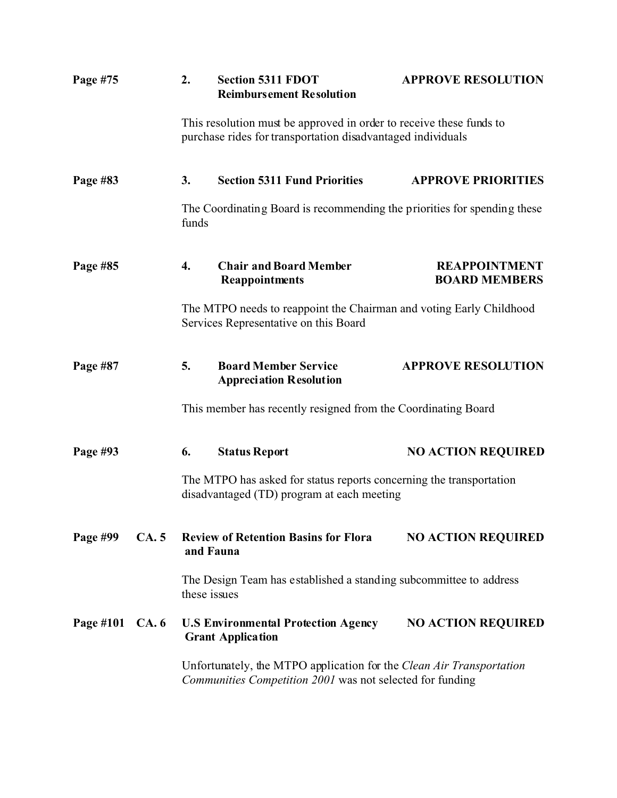| Page #75                  |      | 2.                                                                                                  | <b>Section 5311 FDOT</b><br><b>Reimbursement Resolution</b>                                                                        | <b>APPROVE RESOLUTION</b>                    |  |
|---------------------------|------|-----------------------------------------------------------------------------------------------------|------------------------------------------------------------------------------------------------------------------------------------|----------------------------------------------|--|
|                           |      |                                                                                                     | This resolution must be approved in order to receive these funds to<br>purchase rides for transportation disadvantaged individuals |                                              |  |
| Page #83                  |      | 3.                                                                                                  | <b>Section 5311 Fund Priorities</b>                                                                                                | <b>APPROVE PRIORITIES</b>                    |  |
|                           |      | funds                                                                                               | The Coordinating Board is recommending the priorities for spending these                                                           |                                              |  |
| Page #85                  |      | 4.                                                                                                  | <b>Chair and Board Member</b><br><b>Reappointments</b>                                                                             | <b>REAPPOINTMENT</b><br><b>BOARD MEMBERS</b> |  |
|                           |      |                                                                                                     | The MTPO needs to reappoint the Chairman and voting Early Childhood<br>Services Representative on this Board                       |                                              |  |
| Page #87                  |      | 5.                                                                                                  | <b>Board Member Service</b><br><b>Appreciation Resolution</b>                                                                      | <b>APPROVE RESOLUTION</b>                    |  |
|                           |      |                                                                                                     | This member has recently resigned from the Coordinating Board                                                                      |                                              |  |
| Page #93                  |      | 6.                                                                                                  | <b>Status Report</b>                                                                                                               | <b>NO ACTION REQUIRED</b>                    |  |
|                           |      |                                                                                                     | The MTPO has asked for status reports concerning the transportation<br>disadvantaged (TD) program at each meeting                  |                                              |  |
| Page #99                  | CA.5 | and Fauna                                                                                           | <b>Review of Retention Basins for Flora</b>                                                                                        | <b>NO ACTION REQUIRED</b>                    |  |
|                           |      | these issues                                                                                        | The Design Team has established a standing subcommittee to address                                                                 |                                              |  |
| Page #101<br><b>CA.</b> 6 |      | <b>NO ACTION REQUIRED</b><br><b>U.S Environmental Protection Agency</b><br><b>Grant Application</b> |                                                                                                                                    |                                              |  |
|                           |      |                                                                                                     | Unfortunately, the MTPO application for the Clean Air Transportation<br>Communities Competition 2001 was not selected for funding  |                                              |  |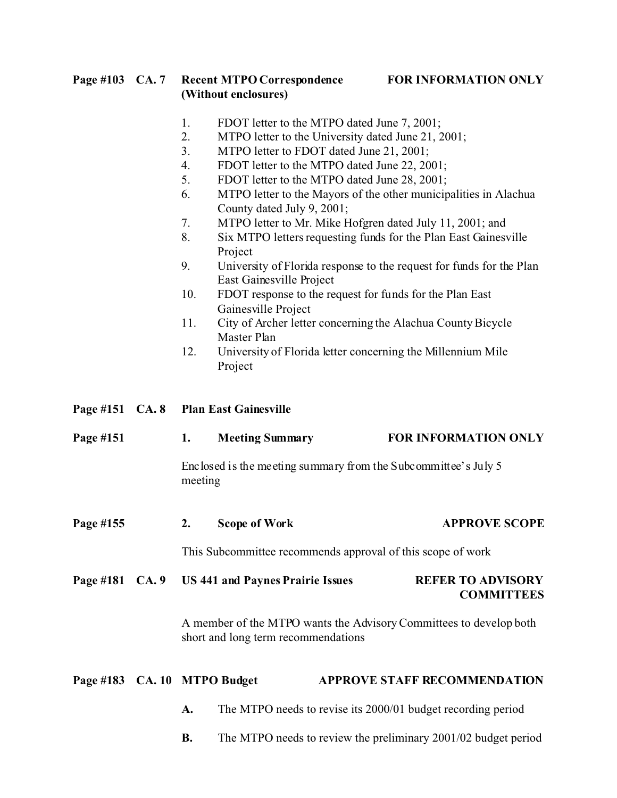### **Page #103 CA. 7 Recent MTPO Correspondence FOR INFORMATION ONLY (Without enclosures)**

- 1. FDOT letter to the MTPO dated June 7, 2001;
- 2. MTPO letter to the University dated June 21, 2001;
- 3. MTPO letter to FDOT dated June 21, 2001;
- 4. FDOT letter to the MTPO dated June 22, 2001;
- 5. FDOT letter to the MTPO dated June 28, 2001;
- 6. MTPO letter to the Mayors of the other municipalities in Alachua County dated July 9, 2001;
- 7. MTPO letter to Mr. Mike Hofgren dated July 11, 2001; and
- 8. Six MTPO letters requesting funds for the Plan East Gainesville Project
- 9. University of Florida response to the request for funds for the Plan East Gainesville Project
- 10. FDOT response to the request for funds for the Plan East Gainesville Project
- 11. City of Archer letter concerning the Alachua County Bicycle Master Plan
- 12. University of Florida letter concerning the Millennium Mile Project
- **Page #151 CA. 8 Plan East Gainesville**

| Page #151                    | 1.                                                                                                        | <b>Meeting Summary</b>                  | <b>FOR INFORMATION ONLY</b>                                    |
|------------------------------|-----------------------------------------------------------------------------------------------------------|-----------------------------------------|----------------------------------------------------------------|
|                              | meeting                                                                                                   |                                         | Enclosed is the meeting summary from the Subcommittee's July 5 |
| Page #155                    | 2.                                                                                                        | Scope of Work                           | <b>APPROVE SCOPE</b>                                           |
|                              |                                                                                                           |                                         | This Subcommittee recommends approval of this scope of work    |
| Page #181 CA. 9              |                                                                                                           | <b>US 441 and Paynes Prairie Issues</b> | <b>REFER TO ADVISORY</b><br><b>COMMITTEES</b>                  |
|                              | A member of the MTPO wants the Advisory Committees to develop both<br>short and long term recommendations |                                         |                                                                |
| Page #183 CA. 10 MTPO Budget |                                                                                                           |                                         | <b>APPROVE STAFF RECOMMENDATION</b>                            |
|                              | A.                                                                                                        |                                         | The MTPO needs to revise its 2000/01 budget recording period   |

**B.** The MTPO needs to review the preliminary 2001/02 budget period